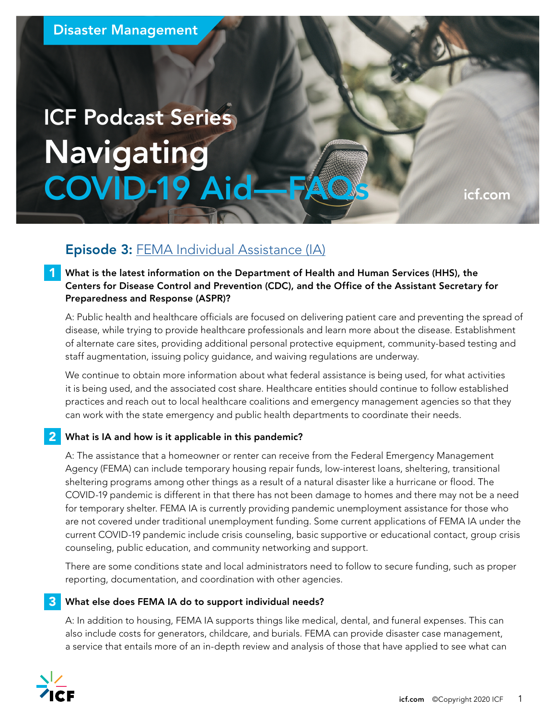# ICF Podcast Series Navigating COVID-19 Aid—FAQS [icf.com](http://icf.com)

# Episode 3: [FEMA Individual Assistance \(IA\)](https://www.icf.com/insights/disaster-management/individual-assistance-covid-19)

What is the latest information on the Department of Health and Human Services (HHS), the Centers for Disease Control and Prevention (CDC), and the Office of the Assistant Secretary for Preparedness and Response (ASPR)?

A: Public health and healthcare officials are focused on delivering patient care and preventing the spread of disease, while trying to provide healthcare professionals and learn more about the disease. Establishment of alternate care sites, providing additional personal protective equipment, community-based testing and staff augmentation, issuing policy guidance, and waiving regulations are underway.

We continue to obtain more information about what federal assistance is being used, for what activities it is being used, and the associated cost share. Healthcare entities should continue to follow established practices and reach out to local healthcare coalitions and emergency management agencies so that they can work with the state emergency and public health departments to coordinate their needs.

## 2 What is IA and how is it applicable in this pandemic?

A: The assistance that a homeowner or renter can receive from the Federal Emergency Management Agency (FEMA) can include temporary housing repair funds, low-interest loans, sheltering, transitional sheltering programs among other things as a result of a natural disaster like a hurricane or flood. The COVID-19 pandemic is different in that there has not been damage to homes and there may not be a need for temporary shelter. FEMA IA is currently providing pandemic unemployment assistance for those who are not covered under traditional unemployment funding. Some current applications of FEMA IA under the current COVID-19 pandemic include crisis counseling, basic supportive or educational contact, group crisis counseling, public education, and community networking and support.

There are some conditions state and local administrators need to follow to secure funding, such as proper reporting, documentation, and coordination with other agencies.

#### What else does FEMA IA do to support individual needs? 3

A: In addition to housing, FEMA IA supports things like medical, dental, and funeral expenses. This can also include costs for generators, childcare, and burials. FEMA can provide disaster case management, a service that entails more of an in-depth review and analysis of those that have applied to see what can



1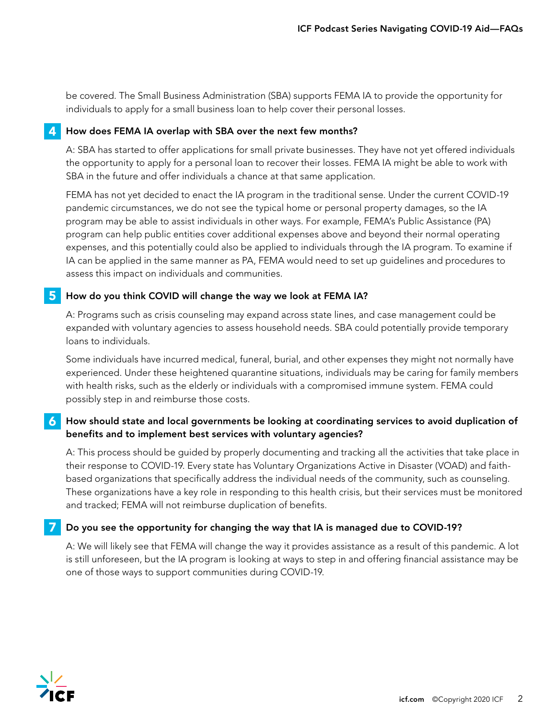be covered. The Small Business Administration (SBA) supports FEMA IA to provide the opportunity for individuals to apply for a small business loan to help cover their personal losses.

## 4 How does FEMA IA overlap with SBA over the next few months?

A: SBA has started to offer applications for small private businesses. They have not yet offered individuals the opportunity to apply for a personal loan to recover their losses. FEMA IA might be able to work with SBA in the future and offer individuals a chance at that same application.

FEMA has not yet decided to enact the IA program in the traditional sense. Under the current COVID-19 pandemic circumstances, we do not see the typical home or personal property damages, so the IA program may be able to assist individuals in other ways. For example, FEMA's Public Assistance (PA) program can help public entities cover additional expenses above and beyond their normal operating expenses, and this potentially could also be applied to individuals through the IA program. To examine if IA can be applied in the same manner as PA, FEMA would need to set up guidelines and procedures to assess this impact on individuals and communities.

## 5 How do you think COVID will change the way we look at FEMA IA?

A: Programs such as crisis counseling may expand across state lines, and case management could be expanded with voluntary agencies to assess household needs. SBA could potentially provide temporary loans to individuals.

Some individuals have incurred medical, funeral, burial, and other expenses they might not normally have experienced. Under these heightened quarantine situations, individuals may be caring for family members with health risks, such as the elderly or individuals with a compromised immune system. FEMA could possibly step in and reimburse those costs.

### $\bf{6}$  How should state and local governments be looking at coordinating services to avoid duplication of benefits and to implement best services with voluntary agencies?

A: This process should be guided by properly documenting and tracking all the activities that take place in their response to COVID-19. Every state has Voluntary Organizations Active in Disaster (VOAD) and faithbased organizations that specifically address the individual needs of the community, such as counseling. These organizations have a key role in responding to this health crisis, but their services must be monitored and tracked; FEMA will not reimburse duplication of benefits.

#### Do you see the opportunity for changing the way that IA is managed due to COVID-19? 7

A: We will likely see that FEMA will change the way it provides assistance as a result of this pandemic. A lot is still unforeseen, but the IA program is looking at ways to step in and offering financial assistance may be one of those ways to support communities during COVID-19.